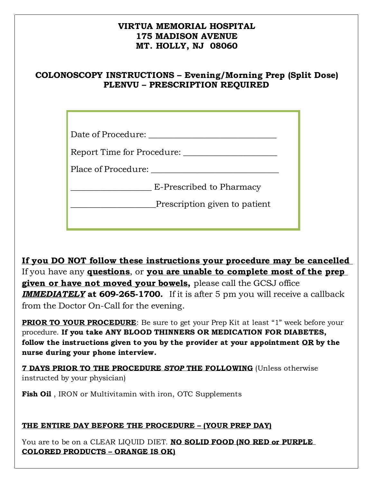### **VIRTUA MEMORIAL HOSPITAL 175 MADISON AVENUE MT. HOLLY, NJ 08060**

## **COLONOSCOPY INSTRUCTIONS – Evening/Morning Prep (Split Dose) PLENVU – PRESCRIPTION REQUIRED**

| Date of Procedure:            |
|-------------------------------|
| Report Time for Procedure:    |
| Place of Procedure:           |
| E-Prescribed to Pharmacy      |
| Prescription given to patient |
|                               |

**If you DO NOT follow these instructions your procedure may be cancelled**  If you have any **questions**, or **you are unable to complete most of the prep given or have not moved your bowels,** please call the GCSJ office *IMMEDIATELY* **at 609-265-1700.** If it is after 5 pm you will receive a callback from the Doctor On-Call for the evening.

**PRIOR TO YOUR PROCEDURE:** Be sure to get your Prep Kit at least "1" week before your procedure. **If you take ANY BLOOD THINNERS OR MEDICATION FOR DIABETES, follow the instructions given to you by the provider at your appointment OR by the nurse during your phone interview.**

**7 DAYS PRIOR TO THE PROCEDURE** *STOP* **THE FOLLOWING** (Unless otherwise instructed by your physician)

**Fish Oil**, IRON or Multivitamin with iron, OTC Supplements

#### **THE ENTIRE DAY BEFORE THE PROCEDURE – (YOUR PREP DAY)**

You are to be on a CLEAR LIQUID DIET. **NO SOLID FOOD (NO RED or PURPLE COLORED PRODUCTS – ORANGE IS OK)**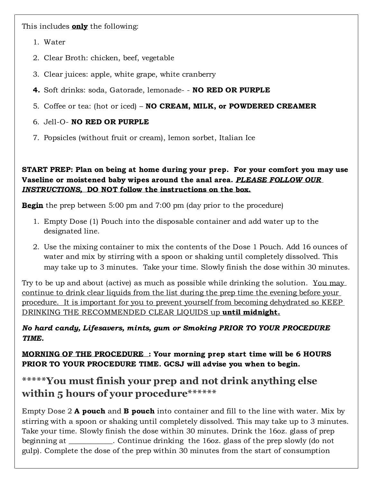This includes **only** the following:

- 1. Water
- 2. Clear Broth: chicken, beef, vegetable
- 3. Clear juices: apple, white grape, white cranberry
- **4.** Soft drinks: soda, Gatorade, lemonade- **NO RED OR PURPLE**
- 5. Coffee or tea: (hot or iced) **NO CREAM, MILK, or POWDERED CREAMER**

# 6. Jell-O- **NO RED OR PURPLE**

7. Popsicles (without fruit or cream), lemon sorbet, Italian Ice

#### **START PREP: Plan on being at home during your prep. For your comfort you may use Vaseline or moistened baby wipes around the anal area.** *PLEASE FOLLOW OUR INSTRUCTIONS,* **DO NOT follow the instructions on the box.**

**Begin** the prep between 5:00 pm and 7:00 pm (day prior to the procedure)

- 1. Empty Dose (1) Pouch into the disposable container and add water up to the designated line.
- 2. Use the mixing container to mix the contents of the Dose 1 Pouch. Add 16 ounces of water and mix by stirring with a spoon or shaking until completely dissolved. This may take up to 3 minutes. Take your time. Slowly finish the dose within 30 minutes.

Try to be up and about (active) as much as possible while drinking the solution. You may continue to drink clear liquids from the list during the prep time the evening before your procedure. It is important for you to prevent yourself from becoming dehydrated so KEEP DRINKING THE RECOMMENDED CLEAR LIQUIDS up **until midnight.**

# *No hard candy, Lifesavers, mints, gum or Smoking PRIOR TO YOUR PROCEDURE TIME.*

**MORNING OF THE PROCEDURE : Your morning prep start time will be 6 HOURS PRIOR TO YOUR PROCEDURE TIME. GCSJ will advise you when to begin.**

# **\*\*\*\*\*You must finish your prep and not drink anything else within 5 hours of your procedure\*\*\*\*\*\***

Empty Dose 2 **A pouch** and **B pouch** into container and fill to the line with water. Mix by stirring with a spoon or shaking until completely dissolved. This may take up to 3 minutes. Take your time. Slowly finish the dose within 30 minutes. Drink the 16oz. glass of prep beginning at \_\_\_\_\_\_\_\_\_\_\_\_. Continue drinking the 16oz. glass of the prep slowly (do not gulp). Complete the dose of the prep within 30 minutes from the start of consumption